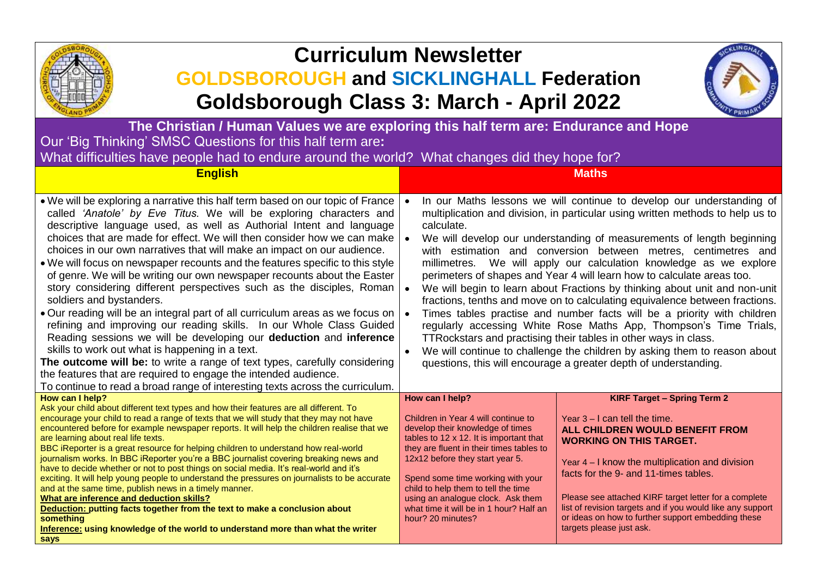

## **Curriculum Newsletter**

## **GOLDSBOROUGH and SICKLINGHALL Federation Goldsborough Class 3: March - April 2022**



**The Christian / Human Values we are exploring this half term are: Endurance and Hope** Our 'Big Thinking' SMSC Questions for this half term are**:** 

What difficulties have people had to endure around the world? What changes did they hope for?

| <b>English</b>                                                                                                                                                                                                                                                                                                                                                                                                                                                                                                                                                                                                                                                                                                                                                                                                                                                                                                                                                                                                                                                                                                                                                            | <b>Maths</b>                                                                                                                                                                                                                                                                                                                                                                                                                                                                                                                                                                                                                                                                                                                                                                                                                                                                                                                                                                                      |  |
|---------------------------------------------------------------------------------------------------------------------------------------------------------------------------------------------------------------------------------------------------------------------------------------------------------------------------------------------------------------------------------------------------------------------------------------------------------------------------------------------------------------------------------------------------------------------------------------------------------------------------------------------------------------------------------------------------------------------------------------------------------------------------------------------------------------------------------------------------------------------------------------------------------------------------------------------------------------------------------------------------------------------------------------------------------------------------------------------------------------------------------------------------------------------------|---------------------------------------------------------------------------------------------------------------------------------------------------------------------------------------------------------------------------------------------------------------------------------------------------------------------------------------------------------------------------------------------------------------------------------------------------------------------------------------------------------------------------------------------------------------------------------------------------------------------------------------------------------------------------------------------------------------------------------------------------------------------------------------------------------------------------------------------------------------------------------------------------------------------------------------------------------------------------------------------------|--|
| . We will be exploring a narrative this half term based on our topic of France<br>called 'Anatole' by Eve Titus. We will be exploring characters and<br>descriptive language used, as well as Authorial Intent and language<br>choices that are made for effect. We will then consider how we can make<br>choices in our own narratives that will make an impact on our audience.<br>. We will focus on newspaper recounts and the features specific to this style<br>of genre. We will be writing our own newspaper recounts about the Easter<br>story considering different perspectives such as the disciples, Roman<br>soldiers and bystanders.<br>. Our reading will be an integral part of all curriculum areas as we focus on  <br>refining and improving our reading skills. In our Whole Class Guided<br>Reading sessions we will be developing our deduction and inference<br>skills to work out what is happening in a text.<br>The outcome will be: to write a range of text types, carefully considering<br>the features that are required to engage the intended audience.<br>To continue to read a broad range of interesting texts across the curriculum. | In our Maths lessons we will continue to develop our understanding of<br>multiplication and division, in particular using written methods to help us to<br>calculate.<br>We will develop our understanding of measurements of length beginning<br>with estimation and conversion between metres, centimetres and<br>millimetres. We will apply our calculation knowledge as we explore<br>perimeters of shapes and Year 4 will learn how to calculate areas too.<br>We will begin to learn about Fractions by thinking about unit and non-unit<br>fractions, tenths and move on to calculating equivalence between fractions.<br>Times tables practise and number facts will be a priority with children<br>regularly accessing White Rose Maths App, Thompson's Time Trials,<br>TTRockstars and practising their tables in other ways in class.<br>We will continue to challenge the children by asking them to reason about<br>questions, this will encourage a greater depth of understanding. |  |
| How can I help?<br>Ask your child about different text types and how their features are all different. To<br>encourage your child to read a range of texts that we will study that they may not have<br>encountered before for example newspaper reports. It will help the children realise that we<br>are learning about real life texts.<br>BBC iReporter is a great resource for helping children to understand how real-world<br>journalism works. In BBC iReporter you're a BBC journalist covering breaking news and<br>have to decide whether or not to post things on social media. It's real-world and it's<br>exciting. It will help young people to understand the pressures on journalists to be accurate<br>and at the same time, publish news in a timely manner.<br>What are inference and deduction skills?<br>Deduction: putting facts together from the text to make a conclusion about<br>something<br>Inference: using knowledge of the world to understand more than what the writer<br>says                                                                                                                                                         | <b>KIRF Target - Spring Term 2</b><br>How can I help?<br>Children in Year 4 will continue to<br>Year $3 - I$ can tell the time.<br>develop their knowledge of times<br>ALL CHILDREN WOULD BENEFIT FROM<br>tables to 12 x 12. It is important that<br><b>WORKING ON THIS TARGET.</b><br>they are fluent in their times tables to<br>12x12 before they start year 5.<br>Year 4 – I know the multiplication and division<br>facts for the 9- and 11-times tables.<br>Spend some time working with your<br>child to help them to tell the time<br>Please see attached KIRF target letter for a complete<br>using an analogue clock. Ask them<br>list of revision targets and if you would like any support<br>what time it will be in 1 hour? Half an<br>or ideas on how to further support embedding these<br>hour? 20 minutes?<br>targets please just ask.                                                                                                                                          |  |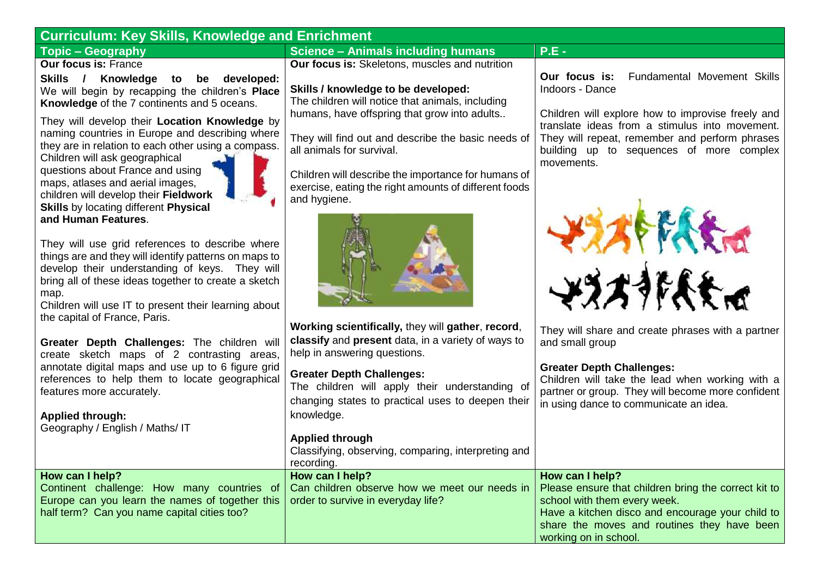| <b>Curriculum: Key Skills, Knowledge and Enrichment</b>                                                                                                                                                                                                                                                                                                                                                                                |                                                                                                                                                                                        |                                                                                                                                                                                                                                     |  |  |
|----------------------------------------------------------------------------------------------------------------------------------------------------------------------------------------------------------------------------------------------------------------------------------------------------------------------------------------------------------------------------------------------------------------------------------------|----------------------------------------------------------------------------------------------------------------------------------------------------------------------------------------|-------------------------------------------------------------------------------------------------------------------------------------------------------------------------------------------------------------------------------------|--|--|
| <b>Topic - Geography</b>                                                                                                                                                                                                                                                                                                                                                                                                               | <b>Science - Animals including humans</b>                                                                                                                                              | $P.E -$                                                                                                                                                                                                                             |  |  |
| <b>Our focus is: France</b><br><b>Skills</b><br>Knowledge to<br>developed:<br>$\overline{1}$<br>be<br>We will begin by recapping the children's Place<br>Knowledge of the 7 continents and 5 oceans.                                                                                                                                                                                                                                   | Our focus is: Skeletons, muscles and nutrition<br>Skills / knowledge to be developed:<br>The children will notice that animals, including                                              | Our focus is:<br>Fundamental Movement Skills<br>Indoors - Dance                                                                                                                                                                     |  |  |
| They will develop their Location Knowledge by<br>naming countries in Europe and describing where<br>they are in relation to each other using a compass.<br>Children will ask geographical<br>questions about France and using                                                                                                                                                                                                          | humans, have offspring that grow into adults<br>They will find out and describe the basic needs of<br>all animals for survival.<br>Children will describe the importance for humans of | Children will explore how to improvise freely and<br>translate ideas from a stimulus into movement.<br>They will repeat, remember and perform phrases<br>building up to sequences of more complex<br>movements.                     |  |  |
| maps, atlases and aerial images,<br>children will develop their Fieldwork<br><b>Skills</b> by locating different Physical<br>and Human Features.<br>They will use grid references to describe where<br>things are and they will identify patterns on maps to<br>develop their understanding of keys. They will<br>bring all of these ideas together to create a sketch<br>map.<br>Children will use IT to present their learning about | exercise, eating the right amounts of different foods<br>and hygiene.                                                                                                                  | <b>AFFARTA</b><br>やろろうにもたば                                                                                                                                                                                                          |  |  |
| the capital of France, Paris.<br>Greater Depth Challenges: The children will<br>create sketch maps of 2 contrasting areas,                                                                                                                                                                                                                                                                                                             | Working scientifically, they will gather, record,<br>classify and present data, in a variety of ways to<br>help in answering questions.                                                | They will share and create phrases with a partner<br>and small group                                                                                                                                                                |  |  |
| annotate digital maps and use up to 6 figure grid<br>references to help them to locate geographical<br>features more accurately.<br><b>Applied through:</b>                                                                                                                                                                                                                                                                            | <b>Greater Depth Challenges:</b><br>The children will apply their understanding of<br>changing states to practical uses to deepen their<br>knowledge.                                  | <b>Greater Depth Challenges:</b><br>Children will take the lead when working with a<br>partner or group. They will become more confident<br>in using dance to communicate an idea.                                                  |  |  |
| Geography / English / Maths/ IT                                                                                                                                                                                                                                                                                                                                                                                                        | <b>Applied through</b><br>Classifying, observing, comparing, interpreting and<br>recording.                                                                                            |                                                                                                                                                                                                                                     |  |  |
| How can I help?<br>Continent challenge: How many countries of<br>Europe can you learn the names of together this<br>half term? Can you name capital cities too?                                                                                                                                                                                                                                                                        | How can I help?<br>Can children observe how we meet our needs in<br>order to survive in everyday life?                                                                                 | How can I help?<br>Please ensure that children bring the correct kit to<br>school with them every week.<br>Have a kitchen disco and encourage your child to<br>share the moves and routines they have been<br>working on in school. |  |  |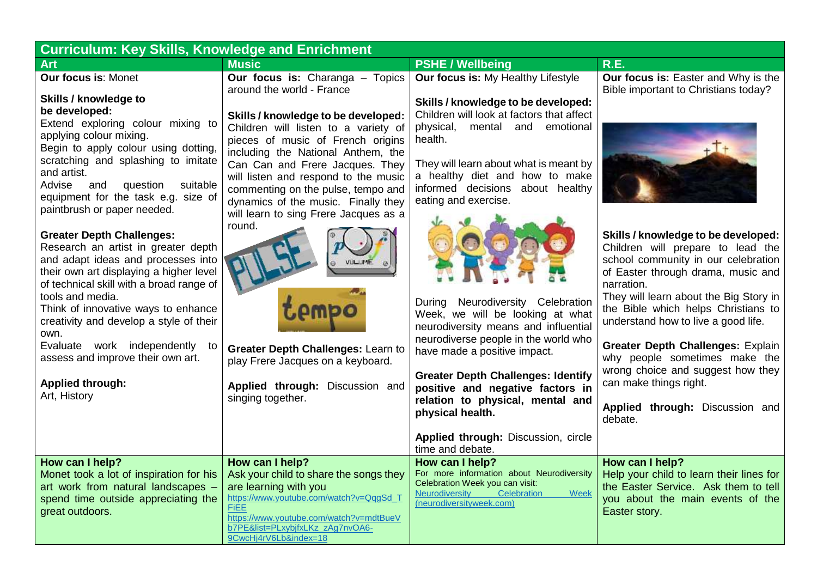| <b>Curriculum: Key Skills, Knowledge and Enrichment</b>                                                                                                                                                                                                                                                                                                                                                                                 |                                                                                                                                                                                                                                                                                                                                                                                |                                                                                                                                                                                                                                                                                                                                |                                                                                                                                                                                                                                                                                                                                                                                                                                                                     |
|-----------------------------------------------------------------------------------------------------------------------------------------------------------------------------------------------------------------------------------------------------------------------------------------------------------------------------------------------------------------------------------------------------------------------------------------|--------------------------------------------------------------------------------------------------------------------------------------------------------------------------------------------------------------------------------------------------------------------------------------------------------------------------------------------------------------------------------|--------------------------------------------------------------------------------------------------------------------------------------------------------------------------------------------------------------------------------------------------------------------------------------------------------------------------------|---------------------------------------------------------------------------------------------------------------------------------------------------------------------------------------------------------------------------------------------------------------------------------------------------------------------------------------------------------------------------------------------------------------------------------------------------------------------|
| <b>Art</b>                                                                                                                                                                                                                                                                                                                                                                                                                              | <b>Music</b>                                                                                                                                                                                                                                                                                                                                                                   | <b>PSHE / Wellbeing</b>                                                                                                                                                                                                                                                                                                        | <b>R.E.</b>                                                                                                                                                                                                                                                                                                                                                                                                                                                         |
| <b>Our focus is: Monet</b><br>Skills / knowledge to<br>be developed:<br>Extend exploring colour mixing to<br>applying colour mixing.<br>Begin to apply colour using dotting,<br>scratching and splashing to imitate<br>and artist.<br>question<br>Advise<br>and<br>suitable<br>equipment for the task e.g. size of<br>paintbrush or paper needed.                                                                                       | Our focus is: Charanga - Topics<br>around the world - France<br>Skills / knowledge to be developed:<br>Children will listen to a variety of<br>pieces of music of French origins<br>including the National Anthem, the<br>Can Can and Frere Jacques. They<br>will listen and respond to the music<br>commenting on the pulse, tempo and<br>dynamics of the music. Finally they | Our focus is: My Healthy Lifestyle<br>Skills / knowledge to be developed:<br>Children will look at factors that affect<br>physical, mental and<br>emotional<br>health.<br>They will learn about what is meant by<br>a healthy diet and how to make<br>informed decisions about healthy<br>eating and exercise.                 | Our focus is: Easter and Why is the<br>Bible important to Christians today?                                                                                                                                                                                                                                                                                                                                                                                         |
| <b>Greater Depth Challenges:</b><br>Research an artist in greater depth<br>and adapt ideas and processes into<br>their own art displaying a higher level<br>of technical skill with a broad range of<br>tools and media.<br>Think of innovative ways to enhance<br>creativity and develop a style of their<br>own.<br>Evaluate work independently<br>to<br>assess and improve their own art.<br><b>Applied through:</b><br>Art, History | will learn to sing Frere Jacques as a<br>round.<br>Greater Depth Challenges: Learn to<br>play Frere Jacques on a keyboard.<br>Applied through: Discussion and<br>singing together.                                                                                                                                                                                             | During Neurodiversity Celebration<br>Week, we will be looking at what<br>neurodiversity means and influential<br>neurodiverse people in the world who<br>have made a positive impact.<br><b>Greater Depth Challenges: Identify</b><br>positive and negative factors in<br>relation to physical, mental and<br>physical health. | Skills / knowledge to be developed:<br>Children will prepare to lead the<br>school community in our celebration<br>of Easter through drama, music and<br>narration.<br>They will learn about the Big Story in<br>the Bible which helps Christians to<br>understand how to live a good life.<br>Greater Depth Challenges: Explain<br>why people sometimes make the<br>wrong choice and suggest how they<br>can make things right.<br>Applied through: Discussion and |
|                                                                                                                                                                                                                                                                                                                                                                                                                                         |                                                                                                                                                                                                                                                                                                                                                                                | Applied through: Discussion, circle<br>time and debate.                                                                                                                                                                                                                                                                        | debate.                                                                                                                                                                                                                                                                                                                                                                                                                                                             |
| How can I help?<br>Monet took a lot of inspiration for his<br>art work from natural landscapes -<br>spend time outside appreciating the<br>great outdoors.                                                                                                                                                                                                                                                                              | How can I help?<br>Ask your child to share the songs they<br>are learning with you<br>https://www.youtube.com/watch?v=QqqSd_T<br><b>FIEE</b><br>https://www.youtube.com/watch?v=mdtBueV<br>b7PE&list=PLxybjfxLKz_zAg7nvOA6-<br>9CwcHj4rV6Lb&index=18                                                                                                                           | How can I help?<br>For more information about Neurodiversity<br>Celebration Week you can visit:<br>Neurodiversity<br>Celebration<br>Week<br>(neurodiversityweek.com)                                                                                                                                                           | How can I help?<br>Help your child to learn their lines for<br>the Easter Service. Ask them to tell<br>you about the main events of the<br>Easter story.                                                                                                                                                                                                                                                                                                            |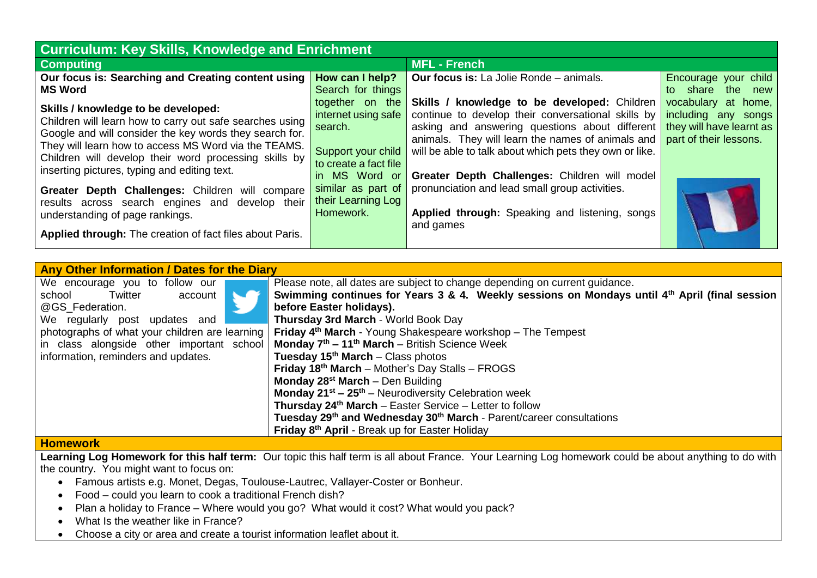| <b>Curriculum: Key Skills, Knowledge and Enrichment</b>                                                                                                                                                                                                                                                                     |                                                                                                                   |                                                                                                                                                                                                                                                                                                                              |                                                                                                  |  |
|-----------------------------------------------------------------------------------------------------------------------------------------------------------------------------------------------------------------------------------------------------------------------------------------------------------------------------|-------------------------------------------------------------------------------------------------------------------|------------------------------------------------------------------------------------------------------------------------------------------------------------------------------------------------------------------------------------------------------------------------------------------------------------------------------|--------------------------------------------------------------------------------------------------|--|
| <b>Computing</b>                                                                                                                                                                                                                                                                                                            |                                                                                                                   | <b>MFL - French</b>                                                                                                                                                                                                                                                                                                          |                                                                                                  |  |
| Our focus is: Searching and Creating content using<br><b>MS Word</b>                                                                                                                                                                                                                                                        | How can I help?<br>Search for things                                                                              | <b>Our focus is:</b> La Jolie Ronde – animals.                                                                                                                                                                                                                                                                               | Encourage your child<br>to share the new                                                         |  |
| Skills / knowledge to be developed:<br>Children will learn how to carry out safe searches using<br>Google and will consider the key words they search for.<br>They will learn how to access MS Word via the TEAMS.<br>Children will develop their word processing skills by<br>inserting pictures, typing and editing text. | together on the<br>internet using safe<br>search.<br>Support your child<br>to create a fact file<br>in MS Word or | <b>Skills / knowledge to be developed: Children</b><br>continue to develop their conversational skills by<br>asking and answering questions about different<br>animals. They will learn the names of animals and<br>will be able to talk about which pets they own or like.<br>Greater Depth Challenges: Children will model | vocabulary at home,<br>including any songs<br>they will have learnt as<br>part of their lessons. |  |
| Greater Depth Challenges: Children will compare<br>results across search engines and develop their<br>understanding of page rankings.                                                                                                                                                                                       | similar as part of<br>their Learning Log<br>Homework.                                                             | pronunciation and lead small group activities.<br>Applied through: Speaking and listening, songs<br>and games                                                                                                                                                                                                                |                                                                                                  |  |
| Applied through: The creation of fact files about Paris.                                                                                                                                                                                                                                                                    |                                                                                                                   |                                                                                                                                                                                                                                                                                                                              |                                                                                                  |  |

| Any Other Information / Dates for the Diary    |  |                                                                                                           |  |
|------------------------------------------------|--|-----------------------------------------------------------------------------------------------------------|--|
| We encourage you to follow our                 |  | Please note, all dates are subject to change depending on current guidance.                               |  |
| Twitter<br>school<br>account                   |  | Swimming continues for Years 3 & 4. Weekly sessions on Mondays until 4 <sup>th</sup> April (final session |  |
| @GS Federation.                                |  | before Easter holidays).                                                                                  |  |
| We regularly post updates and                  |  | Thursday 3rd March - World Book Day                                                                       |  |
| photographs of what your children are learning |  | Friday 4 <sup>th</sup> March - Young Shakespeare workshop - The Tempest                                   |  |
| in class alongside other important school      |  | Monday $7th - 11th$ March – British Science Week                                                          |  |
| information, reminders and updates.            |  | Tuesday $15th$ March – Class photos                                                                       |  |
|                                                |  | Friday 18 <sup>th</sup> March - Mother's Day Stalls - FROGS                                               |  |
|                                                |  | Monday $28^{st}$ March – Den Building                                                                     |  |
|                                                |  | <b>Monday 21<sup>st</sup> – 25<sup>th</sup></b> – Neurodiversity Celebration week                         |  |
|                                                |  | Thursday 24 <sup>th</sup> March - Easter Service - Letter to follow                                       |  |
|                                                |  | Tuesday 29 <sup>th</sup> and Wednesday 30 <sup>th</sup> March - Parent/career consultations               |  |
|                                                |  | Friday 8th April - Break up for Easter Holiday                                                            |  |
| <u>Lla ma anns a viz</u>                       |  |                                                                                                           |  |

## **Homework**

**Learning Log Homework for this half term:** Our topic this half term is all about France. Your Learning Log homework could be about anything to do with the country. You might want to focus on:

- Famous artists e.g. Monet, Degas, Toulouse-Lautrec, Vallayer-Coster or Bonheur.
- Food could you learn to cook a traditional French dish?
- Plan a holiday to France Where would you go? What would it cost? What would you pack?
- What Is the weather like in France?
- Choose a city or area and create a tourist information leaflet about it.